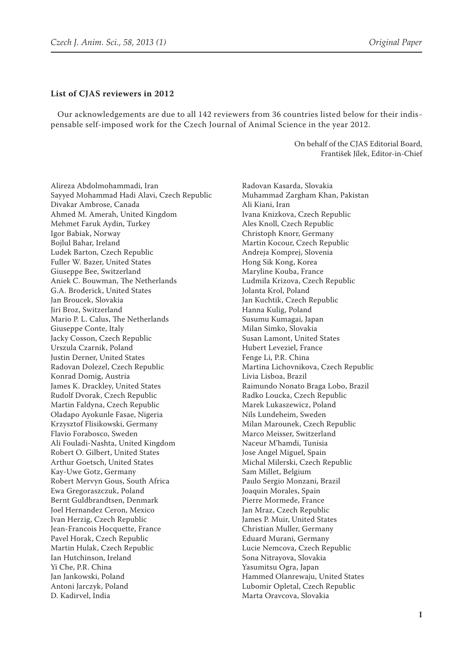## **List of CJAS reviewers in 2012**

Our acknowledgements are due to all 142 reviewers from 36 countries listed below for their indispensable self-imposed work for the Czech Journal of Animal Science in the year 2012.

> On behalf of the CJAS Editorial Board, František Jílek, Editor-in-Chief

Alireza Abdolmohammadi, Iran Sayyed Mohammad Hadi Alavi, Czech Republic Divakar Ambrose, Canada Ahmed M. Amerah, United Kingdom Mehmet Faruk Aydin, Turkey Igor Babiak, Norway Bojlul Bahar, Ireland Ludek Barton, Czech Republic Fuller W. Bazer, United States Giuseppe Bee, Switzerland Aniek C. Bouwman, The Netherlands G.A. Broderick, United States Jan Broucek, Slovakia Jiri Broz, Switzerland Mario P. L. Calus, The Netherlands Giuseppe Conte, Italy Jacky Cosson, Czech Republic Urszula Czarnik, Poland Justin Derner, United States Radovan Dolezel, Czech Republic Konrad Domig, Austria James K. Drackley, United States Rudolf Dvorak, Czech Republic Martin Faldyna, Czech Republic Oladapo Ayokunle Fasae, Nigeria Krzysztof Flisikowski, Germany Flavio Forabosco, Sweden Ali Fouladi-Nashta, United Kingdom Robert O. Gilbert, United States Arthur Goetsch, United States Kay-Uwe Gotz, Germany Robert Mervyn Gous, South Africa Ewa Gregoraszczuk, Poland Bernt Guldbrandtsen, Denmark Joel Hernandez Ceron, Mexico Ivan Herzig, Czech Republic Jean-Francois Hocquette, France Pavel Horak, Czech Republic Martin Hulak, Czech Republic Ian Hutchinson, Ireland Yi Che, P.R. China Jan Jankowski, Poland Antoni Jarczyk, Poland D. Kadirvel, India

Radovan Kasarda, Slovakia Muhammad Zargham Khan, Pakistan Ali Kiani, Iran Ivana Knizkova, Czech Republic Ales Knoll, Czech Republic Christoph Knorr, Germany Martin Kocour, Czech Republic Andreja Komprej, Slovenia Hong Sik Kong, Korea Maryline Kouba, France Ludmila Krizova, Czech Republic Jolanta Krol, Poland Jan Kuchtik, Czech Republic Hanna Kulig, Poland Susumu Kumagai, Japan Milan Simko, Slovakia Susan Lamont, United States Hubert Leveziel, France Fenge Li, P.R. China Martina Lichovnikova, Czech Republic Livia Lisboa, Brazil Raimundo Nonato Braga Lobo, Brazil Radko Loucka, Czech Republic Marek Lukaszewicz, Poland Nils Lundeheim, Sweden Milan Marounek, Czech Republic Marco Meisser, Switzerland Naceur M'hamdi, Tunisia Jose Angel Miguel, Spain Michal Milerski, Czech Republic Sam Millet, Belgium Paulo Sergio Monzani, Brazil Joaquin Morales, Spain Pierre Mormede, France Jan Mraz, Czech Republic James P. Muir, United States Christian Muller, Germany Eduard Murani, Germany Lucie Nemcova, Czech Republic Sona Nitrayova, Slovakia Yasumitsu Ogra, Japan Hammed Olanrewaju, United States Lubomir Opletal, Czech Republic Marta Oravcova, Slovakia